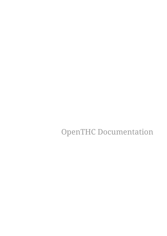OpenTHC Documentation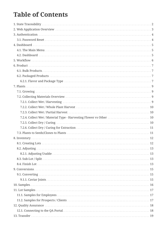## **Table of Contents**

| 7.2.4. Collect Wet / Material Type - Harvesting Flower vs Other  10 |  |
|---------------------------------------------------------------------|--|
|                                                                     |  |
|                                                                     |  |
|                                                                     |  |
|                                                                     |  |
|                                                                     |  |
|                                                                     |  |
|                                                                     |  |
|                                                                     |  |
|                                                                     |  |
|                                                                     |  |
|                                                                     |  |
|                                                                     |  |
|                                                                     |  |
|                                                                     |  |
|                                                                     |  |
|                                                                     |  |
|                                                                     |  |
|                                                                     |  |
|                                                                     |  |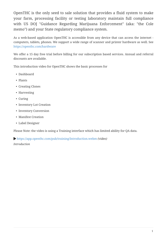OpenTHC is the only seed to sale solution that provides a fluid system to make your farm, processing facility or testing laboratory maintain full compliance with US DOJ "Guidance Regarding Marijuana Enforcement" (aka: "the Cole memo") and your State regulatory compliance system.

As a web-based application OpenTHC is accessible from any device that can access the internet computers, tablets, phones. We support a wide range of scanner and printer hardware as well. See <https://openthc.com/hardware>

We offer a 15 day free trial before billing for our subscription based services. Annual and referral discounts are available.

This introduction video for OpenTHC shows the basic processes for

- Dashboard
- Plants
- Creating Clones
- Harvesting
- Curing
- Inventory Lot Creation
- Inventory Conversion
- Manifest Creation
- Label Designer

Please Note: the video is using a Training interface which has limited ability for QA data.

<https://app.openthc.com/pub/training/Introduction.webm> *(video)*

*Introduction*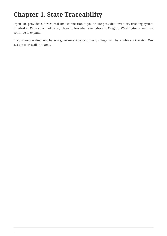## <span id="page-4-0"></span>**Chapter 1. State Traceability**

OpenTHC provides a direct, real-time connection to your State provided inventory tracking system in Alaska, California, Colorado, Hawaii, Nevada, New Mexico, Oregon, Washington - and we continue to expand.

If your region does not have a government system, well, things will be a whole lot easier. Our system works all the same.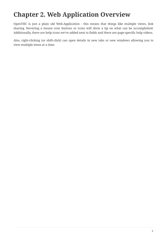## <span id="page-5-0"></span>**Chapter 2. Web Application Overview**

OpenTHC is just a plain old Web-Application - this means that things like multiple views, link sharing. Hovering a mouse over buttons or icons will show a tip on what can be accomplished. Additionally, there are help icons we've added next to fields and there are page-specific help videos.

Also, right-clicking (or shift-click) can open details in new tabs or new windows allowing you to view multiple items at a time.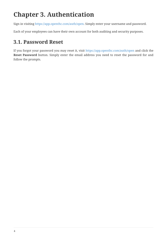# <span id="page-6-0"></span>**Chapter 3. Authentication**

Sign in visiting [https://app.openthc.com/auth/open.](https://app.openthc.com/auth/open) Simply enter your username and password.

Each of your employees can have their own account for both auditing and security purposes.

### <span id="page-6-1"></span>**3.1. Password Reset**

If you forgot your password you may reset it, visit <https://app.openthc.com/auth/open> and click the **Reset Password** button. Simply enter the email address you need to reset the password for and follow the prompts.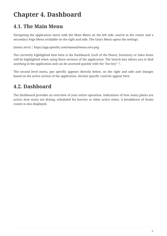# <span id="page-7-0"></span>**Chapter 4. Dashboard**

### <span id="page-7-1"></span>**4.1. The Main Menu**

Navigating the application starts with the Main Menu on the left side, search in the center and a secondary Page Menu available on the right and side. The Gears Menu opens the settings.

[menu zero] | *https://app.openthc.com/manual/menu-zero.png*

The currently highlighted item here is the Dashboard. Each of the Plants, Inventory or Sales items will be highlighted when using those sections of the application. The Search box allows you to find anything in the application and can be accessed quickly with the "hot key" '/'.

The second level menu, pae specific appears directly below, on the right and side and changes based on the active section of the application. Section specific controls appear here.

#### <span id="page-7-2"></span>**4.2. Dashboard**

The Dashboard provides an overview of your entire operation. Indications of how many plants are active, how many are drying, scheduled for harvest or other active states. A breakdown of Strain counts is also displayed.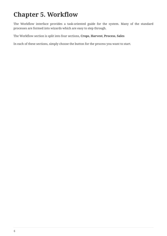## <span id="page-8-0"></span>**Chapter 5. Workflow**

The Workflow interface provides a task-oriented guide for the system. Many of the standard processes are formed into wizards which are easy to step through.

The Workflow section is split into four sections, **Crops**, **Harvest**, **Process**, **Sales**

In each of these sections, simply choose the button for the process you want to start.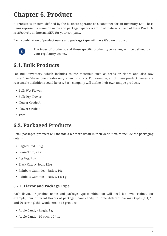## <span id="page-9-0"></span>**Chapter 6. Product**

A **Product** is an item, defined by the business operator as a container for an Inventory Lot. These items represent a common name and package type for a group of materials. Each of these Products is effectively an internal **SKU** for your company.

Each combination of product **name** and **package type** will have it's own product.



The types of products, and those specific product type names, will be defined by your regulatory agency.

#### <span id="page-9-1"></span>**6.1. Bulk Products**

For Bulk inventory, which includes source materials such as seeds or clones and also raw flower/trim/shake, one creates only a few products. For example, all of these product names are reasonable definitions could be use. Each company will define their own unique products.

- Bulk Wet Flower
- Bulk Dry Flower
- Flower Grade A
- Flower Grade B
- Trim

#### <span id="page-9-2"></span>**6.2. Packaged Products**

Retail packaged products will include a bit more detail in their definition, to include the packaging details.

- Bagged Bud, 3.5 g
- Loose Trim, 28 g
- Big Bag, 1 oz
- Black Cherry Soda, 12oz
- Rainbow Gummies Sativa, 10g
- Rainbow Gummies Sativa, 1 x 1 g

#### <span id="page-9-3"></span>**6.2.1. Flavor and Package Type**

Each flavor, or product name and package type combination will need it's own Product. For example, four different flavors of packaged hard candy, in three different package types (a 1, 10 and 20 serving) this would create 12 products

- Apple Candy Single, 1 g
- Apple Candy 10 pack, 10 \* 1g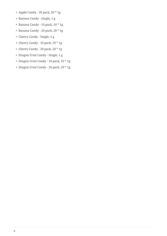- Apple Candy 20 pack, 20 \* 1g
- Banana Candy Single, 1 g
- Banana Candy 10 pack, 10 \* 1g
- Banana Candy 20 pack, 20 \* 1g
- Cherry Candy Single, 1 g
- Cherry Candy 10 pack, 10 \* 1g
- Cherry Candy 20 pack, 20 \* 1g
- Dragon Fruit Candy Single, 1 g
- Dragon Fruit Candy 10 pack, 10 \* 1g
- Dragon Fruit Candy 20 pack, 20 \* 1g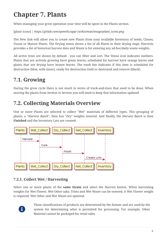# <span id="page-11-0"></span>**Chapter 7. Plants**

When managing your grow operation your time will be spent in the Plants section.

[plant icons] | *https://gitlab.com/openthc/app/-/wikis/man/image/plant\_icons.png*

The New link will allow you to create new Plants from your available Inventory of Seeds, Clones, Tissue or Mature Plants. The Drying menu shows a list of all Plants in their drying stage. Harvests provides a list of historical harvest data and Waste is for entering any ad-hoc/daily waste weights.

All active trees are shown by default - you can filter and sort. The Venus icon indicates mothers. Plants that are actively growing have green leaves; scheduled for harvest have orange leaves and plants that are drying have brown leaves. The trash bin indicates if this item is scheduled for destruction (blue, with timer), ready for destruction (red) or destroyed and remove (black).

## <span id="page-11-1"></span>**7.1. Growing**

During the grow cycle there is not much in terms of track-and-trace that need to be done. When moving the plants from Section to Section you will need to keep that information updated

## <span id="page-11-2"></span>**7.2. Collecting Materials Overview**

One or more Plants are selected to collect "*Wet*" materials of different types. This grouping of plants, a "*Harvest Batch*", then has "*Dry*" weights entered. And finally, the *Harvest Batch* is then **Finished** and the Inventory Lots are created.



#### <span id="page-11-3"></span>**7.2.1. Collect Wet / Harvesting**

Select one or more plants of the **same Strain** and select the Harvest button. When harvesting weights for Wet Flower, Wet Other (aka: Trim) and Wet Waste can be entered. A Wet Flower weight is required. Wet Other and Wet Waste are optional.



These classifications of products are determined by the farmer and are used by the system for determining what is permitted for processing. For example, Other Material cannot be packaged for retail sales.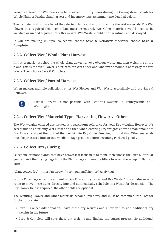Weights entered for Wet items can be assigned into Dry items during the Curing stage. Details for Whole Plant or Partial plant harvest and inventory type assignment are detailed below.

The next step will show a list of the selected plants and a form to entire the Wet materials. The Wet Flower is a required field, some data must be entered. Wet Other materials would need to be weighed again and adjusted for a Dry weight. Wet Waste should be quarantined and destroyed.

If you are making multiple collections choose **Save & Reflower** otherwise choose **Save & Complete**.

#### <span id="page-12-0"></span>**7.2.2. Collect Wet / Whole Plant Harvest**

In this scenario just chop the whole plant down, remove obvious waste and then weigh the entire plant. This is the Wet Flower, enter zero for Wet Other and whatever amount is necessary for Wet Waste. Then choose Save & Complete

#### <span id="page-12-1"></span>**7.2.3. Collect Wet / Partial Harvest**

When making multiple collections enter Wet Flower and Wet Waste accordingly and use Save & Reflower.



Partial Harvest is not possible with LeafData systems in Pennsylvania or Washington

#### <span id="page-12-2"></span>**7.2.4. Collect Wet / Material Type - Harvesting Flower vs Other**

The Wet weights entered are treated as a maximum reference for your Dry weights. However, it's acceptable to enter only Wet Flower and then when entering Dry weights enter a small amount of Dry Flower and put the bulk of the weight into Dry Other. Keeping in mind that Other materials must be processed into an Intermediate stage product before becoming Packaged goods.

#### <span id="page-12-3"></span>**7.2.5. Collect Dry / Curing**

Select one or more plants, that have brown leaf icons next to them, then choose the Cure button. Or you can visit the Drying page from the Plants page and use the filters to select the group of Plants to cure.

#### [plant collect dry] | *https://app.openthc.com/manual/plant-collect-dry.png*

On the Cure page enter the amount of Dry Flower, Dry Other and Dry Waste. You can also select a room to move these items directly into and automatically schedule this Waste for destruction. The Dry Flower field is required, the other fields are optional.

The resulting Flower and Other Materials become Inventory and must be combined into Lots for further processing.

- Cure & Collect Additional will save these dry weights and allow you to add additional dry weights in the future
- Cure & Complete will save these dry weights and finalize the curing process. No additional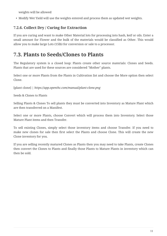weights will be allowed

• Modify Wet Yield will use the weights entered and process them as updated wet weights.

#### <span id="page-13-0"></span>**7.2.6. Collect Dry / Curing for Extraction**

If you are curing and want to make Other Material lots for processing into hash, keif or oils. Enter a small amount for Flower and the bulk of the materials would be classified as Other. This would allow you to make large Lots (15lb) for conversion or sale to a processor.

### <span id="page-13-1"></span>**7.3. Plants to Seeds/Clones to Plants**

The Regulatory system is a closed loop: Plants create other source materials: Clones and Seeds. Plants that are used for these sources are considered "Mother" plants.

Select one or more Plants from the Plants in Cultivation list and choose the More option then select Clone.

[plant clone] | *https://app.openthc.com/manual/plant-clone.png*

Seeds & Clones to Plants

Selling Plants & Clones To sell plants they must be converted into Inventory as Mature Plant which are then transferred on a Manifest.

Select one or more Plants, choose Convert which will process them into Inventory. Select those Mature Plant items and then Transfer.

To sell existing Clones, simply select those inventory items and choose Transfer. If you need to make new clones for sale then first select the Plants and choose Clone. This will create the new Clone inventory for you.

If you are selling recently matured Clones as Plants then you may need to take Plants, create Clones then convert the Clones to Plants and finally those Plants to Mature Plants in inventory which can then be sold.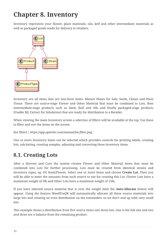# <span id="page-14-0"></span>**Chapter 8. Inventory**

Inventory represents your flower, plant materials, oils, keif and other intermediate materials as well as packaged goods ready for delivery to retailers.



Inventory are all items that are non-farm items. Mature Plants for Sale, Seeds, Clones and Plant Tissue. There are source-stage Flower and Other Material that must be combined to Lots, then intermediate-stage products such as Hash, Keif and Oils and finally packaged-stage products (Usable MJ, Extract for Inhalation) that are ready for distribution to a Retailer.

When viewing the main Inventory screen a selection of filters will be available at the top. Use these to filter and sort the items on the screen.

#### [lot filter] | *https://app.openthc.com/manual/lot-filter.png*

One or more Inventory items can be selected which provides controls for printing labels, creating lots, sub-lotting, creating samples, adjusting and converting these inventory items.

#### <span id="page-14-1"></span>**8.1. Creating Lots**

After a Harvest and Cure the system creates Flower and Other Material items that must be combined into Lots for further processing. Lots must be created from identical strains and inventory types, eg: OG Kush/Flower. Select one or more items and choose **Create Lot**. Then you will be able to enter the amounts from each source to use for creating this Lot. Flower Lots have a maximum weight of 5lb and Other Lots have a maximum weight of 15lb.

If you have selected source material that is over the weight limit the **Auto-Allocate** button will appear. Using the feature WeedTraQR will automatically allocate all these source materials into large lots and creating an even distribution on the remainders so we don't end up with very small lots.

This example shows a distribution from five source items into three lots. One is the full size and two and three are a balance from the remaining product.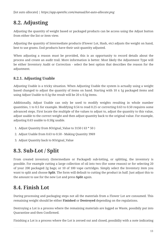## <span id="page-15-0"></span>**8.2. Adjusting**

Adjusting the quantity of weight based or packaged products can be access using the Adjust button from either the list or item view.

Adjusting the quantity of Intermediate products (Flower Lot, Hash, etc) adjusts the weight on hand, best to use grams. End products have their unit quantity adjusted.

When adjusting a reason must be provided, this is an opportunity to record details about the process and create an audit trail. More information is better. Most likely the Adjustment Type will be either Inventory Audit or Correction - select the best option that describes the reason for the adjustment.

#### <span id="page-15-1"></span>**8.2.1. Adjusting Usable**

Adjusting Usable is a tricky situation. When Adjusting Usable the system is actually using a weight based changed to adjust the quantity of items on hand. Starting with 10 x 1g packaged items and using Adjust Usable to 0.5g the result will be 20 x 0.5g items.

Additionally, Adjust Usable can only be used to modify weights resulting in whole number quantities, 1 to 0.5 for example. Modifying 0.54 to read 0.25 or correcting 0.63 to 0.50 requires some advanced steps. First locate the multiple of the values to adjust to, adjust the quantity to this value, adjust usable to the correct weight and then adjust quantity back to the original value. For example, adjusting 0.63 usable to 0.50g usable.

- 1. Adjust Quantity from \$Orignal\_Value to 3150 ( 63 \* 50 )
- 2. Adjust Usable from 0.63 to 0.50 Making Quantity 3969
- 3. Adjust Quantity back to \$Orignal\_Value

## <span id="page-15-2"></span>**8.3. Sub-Lot / Split**

From created inventory (Intermediate or Packaged) sub-lotting, or splitting, the inventory is possible. For example cutting a large collection of oil into two (for some reason) or for selecting 20 of your 200 packaged 2g bags; or 10 of 100 vape cartridges. Simply select the Inventory item you want to split and choose **Split**. The form will default to cutting the product in half. Just adjust this to the amount to use for the new Lot and press **Split** again.

## <span id="page-15-3"></span>**8.4. Finish Lot**

During processing and packaging steps not all the materials from a Flower Lot are consumed. This remaining weight should be either **Finished** or **Destroyed** depending on the regulations.

Destroying a Lot is a process where the remaining materials are logged as Waste, possibily put into Quarantine and then Confirmed.

Finishing a Lot is a process where the Lot is zeroed out and closed, possibiliy with a note indicating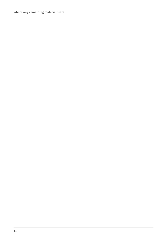where any remaining material went.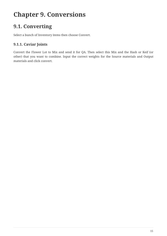## <span id="page-17-0"></span>**Chapter 9. Conversions**

### <span id="page-17-1"></span>**9.1. Converting**

Select a bunch of Inventory items then choose Convert.

#### <span id="page-17-2"></span>**9.1.1. Caviar Joints**

Convert the Flower Lot to Mix and send it for QA. Then select this Mix and the Hash or Keif (or other) that you want to combine. Input the correct weights for the Source materials and Output materials and click convert.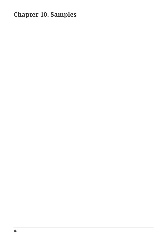## <span id="page-18-0"></span>**Chapter 10. Samples**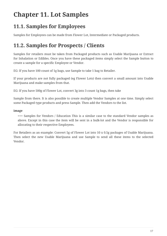# <span id="page-19-0"></span>**Chapter 11. Lot Samples**

### <span id="page-19-1"></span>**11.1. Samples for Employees**

Samples for Employees can be made from Flower Lot, Intermediate or Packaged products.

### <span id="page-19-2"></span>**11.2. Samples for Prospects / Clients**

Samples for retailers must be taken from Packaged products such as Usable Marijuana or Extract for Inhalation or Edibles. Once you have these packaged items simply select the Sample button to create a sample for a specific Employee or Vendor.

EG: If you have 100 count of 1g bags, use Sample to take 1 bag to Retailer.

If your products are not fully packaged (eg Flower Lots) then convert a small amount into Usable Marijuana and make samples from that.

EG: If you have 500g of Flower Lot, convert 3g into 3 count 1g bags, then take

Sample from there. It is also possible to create multiple Vendor Samples at one time. Simply select some Packaged type products and press Sample. Then add the Vendors to the list.

#### **image**

=== Samples for Vendors / Education This is a similar case to the standard Vendor samples as above. Except in this case the item will be sent in a bulk-lot and the Vendor is responsible for allocating to their respective Employees.

For Retailers as an example: Convert 5g of Flower Lot into 10 x 0.5g packages of Usable Marijuana. Then select the new Usable Marijuana and use Sample to send all these items to the selected Vendor.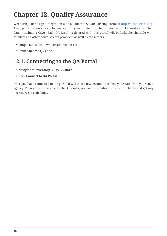## <span id="page-20-0"></span>**Chapter 12. Quality Assurance**

WeedTraQR has a tight integration with a Laboratory Data Sharing Portal at <https://lab.openthc.org/> This portal allows you to merge in your State supplied data, with Laboratory suplied data — including COAs. Each QA Result registered with this portal will be linkable, sharable with retailers and other down-stream providers as well as consumers.

- Simple Links for Down-Stream Businesses
- Embedable via QR Code

### <span id="page-20-1"></span>**12.1. Connecting to the QA Portal**

- Navigate to **Inventory** ⇒ **QA** ⇒ **Share**
- Click **Connect to QA Portal**

Once you have connected to the portal it will take a few seconds to collect your data from your State agency. Then you will be able to check results, review information, share with clients and get any necessary QR code links.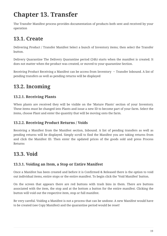## <span id="page-21-0"></span>**Chapter 13. Transfer**

The Transfer Manifest process provides documentation of products both sent and received by your operation

## <span id="page-21-1"></span>**13.1. Create**

Delivering Product / Transfer Manifest Select a bunch of Inventory items; then select the Transfer button.

Delivery Quarantine The Delivery Quarantine period (24h) starts when the manifest is created. It does not matter when the product was created, or moved to your quarantine Section.

Receiving Product Receiving a Manifest can be access from Inventory  $\rightarrow$  Transfer Inbound. A list of pending transfers as well as pending returns will be displayed

## <span id="page-21-2"></span>**13.2. Incoming**

#### <span id="page-21-3"></span>**13.2.1. Receiving Plants**

When plants are received they will be visible on the 'Mature Plants' section of your Inventory. These items must be changed into Plants and issue a new ID to become part of your farm. Select the items, choose Plant and enter the quantity that will be moving onto the farm.

#### <span id="page-21-4"></span>**13.2.2. Receiving Product Returns / Voids**

Receiving a Manifest from the Manifest section, Inbound. A list of pending transfers as well as pending returns will be displayed. Simply scroll to find the Manifest you are taking returns from and click the Manifest ID. Then enter the updated prices of the goods sold and press Process Returns

## <span id="page-21-5"></span>**13.3. Void**

#### <span id="page-21-6"></span>**13.3.1. Voiding an Item, a Stop or Entire Manifest**

Once a Manifest has been created and before it is Confirmed & Released there is the option to void out individual items, entire stops or the entire manifest. To begin click the 'Void Manifest' button.

On the screen that appears there are red buttons with trash bins in them. There are buttons associated with the item, the stop and at the bottom a button for the entire manifest. Clicking the button will void out the respective item, stop or full manifest.

Be very careful. Voiding a Manifest is not a process that can be undone. A new Manifest would have to be created (see Copy Manifest) and the quarantine period would be reset!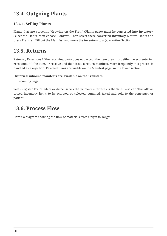### <span id="page-22-0"></span>**13.4. Outgoing Plants**

#### <span id="page-22-1"></span>**13.4.1. Selling Plants**

Plants that are currently 'Growing on the Farm' (Plants page) must be converted into Inventory. Select the Plants, then choose 'Convert'. Then select these converted Inventory Mature Plants and press Transfer. Fill out the Manifest and move the inventory to a Quarantine Section.

#### <span id="page-22-2"></span>**13.5. Returns**

Returns / Rejections If the receiving party does not accept the item they must either reject (entering zero amount) the item, or receive and then issue a return manifest. More frequently this process is handled as a rejection. Rejected items are visible on the Manifest page, in the lower section.

#### **Historical inbound manifests are available on the Transfers**

Incoming page.

Sales Register For retailers or dispensaries the primary interfaces is the Sales Register. This allows priced inventory items to be scanned or selected, summed, taxed and sold to the consumer or patient.

#### <span id="page-22-3"></span>**13.6. Process Flow**

Here's a diagram showing the flow of materials from Origin to Target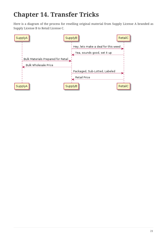## <span id="page-23-0"></span>**Chapter 14. Transfer Tricks**

Here is a diagram of the process for reselling original material from Supply License A branded as Supply License B to Retail License C.

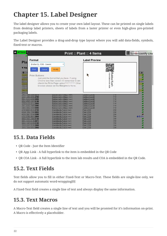# <span id="page-24-0"></span>**Chapter 15. Label Designer**

The label designer allows you to create your own label layout. These can be printed on single labels from desktop label printers, sheets of labels from a laster printer or even high-gloss pre-printed packaging labels.

The Label Designer provides a drag-and-drop type layout where you will add data-fields, symbols, fixed-text or macros.

| $\blacksquare$ Plants<br>☎<br>ka New |                                                          | Print :: Plant :: 4 Items                                                                   | powered by<br><b>E</b> E Screencastify Lite |                                     |              |
|--------------------------------------|----------------------------------------------------------|---------------------------------------------------------------------------------------------|---------------------------------------------|-------------------------------------|--------------|
|                                      | Format<br>Pla                                            |                                                                                             | <b>Label Preview</b>                        |                                     |              |
|                                      |                                                          | Brother QL-1060 - Generic<br>$\overline{\mathbf{v}}$                                        |                                             |                                     |              |
|                                      | <b>T</b> Filte<br>Print                                  | Modify<br>Queue                                                                             |                                             |                                     |              |
| $\bullet$                            | 70246<br><b>Print Buttons</b><br>72095<br>92055<br>68390 | Just pick the format that you have. If using<br>Chrome less than version 43 remember to un- |                                             | 7024 6389 6126 4626<br><b>Bubba</b> | 土<br>$O$ 42h |
|                                      | 72889<br>75904<br>77853<br>78829<br>24992                | check the Fit to Page option [Bug #158752] Other<br>browser please set the Margins to None. |                                             | Kush                                |              |
|                                      | 2988 5299 0004 0010                                      | <b>PRIMARINANTI CONTROL (MOM)</b>                                                           | <b>WILLOUGHAMEL</b>                         | ञाप                                 |              |
|                                      | 3497 1868 9858 2706                                      | Bubba Kush + Magic (mom)                                                                    | Outdoor/CycleB                              | 31d                                 |              |
|                                      | 5581 5372 6850 5459                                      | Bubba Kush + Magic (mom)                                                                    | Outdoor/CycleB                              | 31d                                 |              |
|                                      | 6592 4565 1307 9198                                      | Bubba Kush + Magic (mom)                                                                    | Outdoor/CycleB                              | 31d                                 |              |
|                                      | 7755 8173 1512 3906<br>7971 8203 7965 0980               | Bubba Kush + Magic (mom)<br>Bubba Kush + Magic (mom)                                        | Outdoor/CycleB<br>Outdoor/CycleB            | 31d<br>31d                          |              |
|                                      | 7985 5400 1591 5960                                      | Bubba Kush + Magic (mom)                                                                    | Outdoor/CycleB                              | 31d                                 |              |
|                                      | 2796 4483 8974 4152                                      | Granddaddy Purple (mom)                                                                     | <b>Plant 2339</b>                           | 29d                                 |              |
|                                      | 4394 7054 7390 8452                                      | Granddaddy Purple (mom)                                                                     | <b>Plant 2339</b>                           | <b>29d</b>                          |              |
|                                      | 4519 2987 0538 5388                                      | Granddaddy Purple (mom)                                                                     | <b>Plant 2339</b>                           | <b>29d</b>                          |              |
|                                      | 4782 8768 4641 2809                                      | Granddaddy Purple (mom)                                                                     | <b>Plant 2339</b>                           | 29d                                 | <b>面④42h</b> |
|                                      | 6566 7483 2488 0149                                      | Granddaddy Purple (mom)                                                                     | <b>Plant 2339</b>                           | 29d                                 |              |
|                                      | 6651 7234 9176 9471                                      | Granddaddy Purple (mom)                                                                     | <b>Plant 2339</b>                           | 29d                                 |              |
|                                      | 6892 1367 6228 0193                                      | Granddaddy Purple (mom)                                                                     | <b>Plant 2339</b>                           | 29d                                 |              |
|                                      | 7526 2247 1578 2906<br>7613 7054 6851 2800               | Granddaddy Purple (mom)<br>Granddaddy Purple (mom)                                          | <b>Plant 2339</b><br><b>Plant 2339</b>      | 29d<br>29d                          |              |
|                                      |                                                          |                                                                                             |                                             |                                     |              |

### <span id="page-24-1"></span>**15.1. Data Fields**

- QR Code Just the Item Identifier
- QR App Link A full hyperlink to the item is embedded in the QR Code
- QR COA Link A full hyperlink to the item lab results and COA is embedded in the QR Code.

### <span id="page-24-2"></span>**15.2. Text Fields**

Text fields allow you to fill in either Fixed-Text or Macro-Text. These fields are single-line only, we do not support automatic word-wrapping[0]

A Fixed-Text field creates a single line of text and always display the same information.

#### <span id="page-24-3"></span>**15.3. Text Macros**

A Macro-Text field creates a single line of text and you will be promted for it's information on-print. A Macro is effectively a placeholder.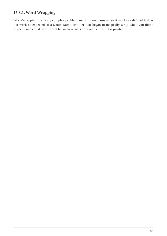#### <span id="page-25-0"></span>**15.3.1. Word-Wrapping**

Word-Wrapping is a fairly complex problem and in many cases when it works as defined it does not work as expected. If a Strain Name or other text began to magically wrap when you didn't expect it and could be different between what is on screen and what is printed.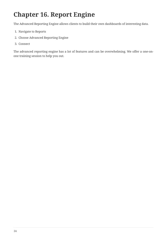## <span id="page-26-0"></span>**Chapter 16. Report Engine**

The Advanced Reporting Engine allows clients to build their own dashboards of interesting data.

- 1. Navigate to Reports
- 2. Choose Advanced Reporting Engine
- 3. Connect

The advanced reporting engine has a lot of features and can be overwhelming. We offer a one-onone training session to help you out.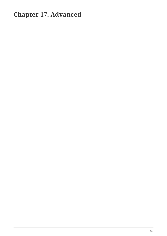## <span id="page-27-0"></span>**Chapter 17. Advanced**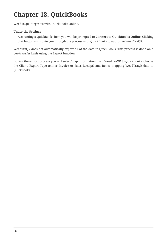# <span id="page-28-0"></span>**Chapter 18. QuickBooks**

WeedTaQR integrates with QuickBooks Online.

#### **Under the Settings**

Accounting :: QuickBooks item you will be prompted to **Connect to QuickBooks Online**. Clicking that button will route you through the process with QuickBooks to authorize WeedTraQR.

WeedTraQR does not automatically export all of the data to QuickBooks. This process is done on a per-transfer basis using the Export function.

During the export process you will select/map information from WeedTraQR to QuickBooks. Choose the Client, Export Type (either Invoice or Sales Receipt) and Items, mapping WeedTraQR data to QuickBooks.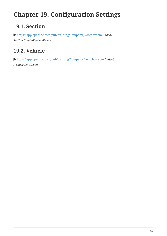# <span id="page-29-0"></span>**Chapter 19. Configuration Settings**

## <span id="page-29-1"></span>**19.1. Section**

 [https://app.openthc.com/pub/training/Company\\_Room.webm](https://app.openthc.com/pub/training/Company_Room.webm) *(video) Section Create/Review/Delete*

### <span id="page-29-2"></span>**19.2. Vehicle**

 [https://app.openthc.com/pub/training/Company\\_Vehicle.webm](https://app.openthc.com/pub/training/Company_Vehicle.webm) *(video) /Vehicle Edit/Delete*